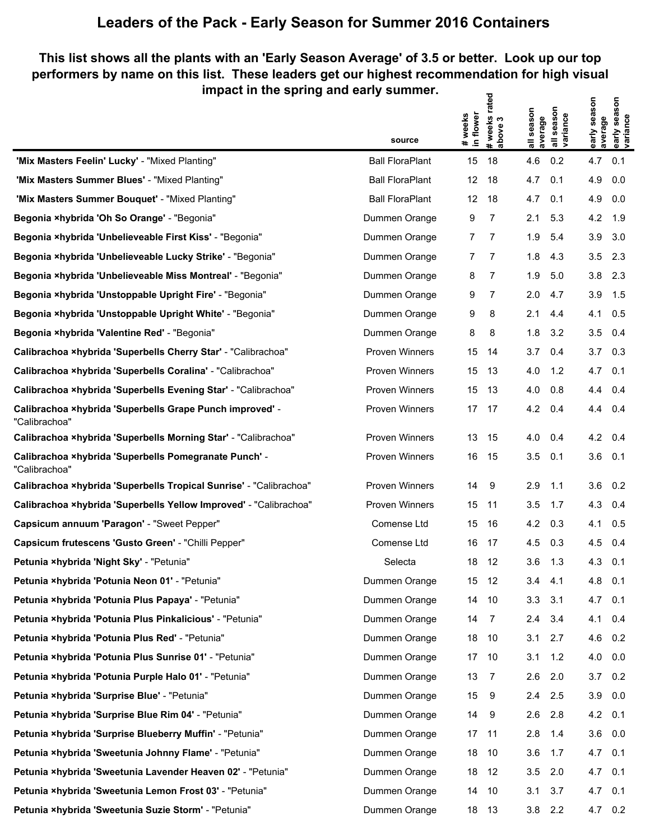## **Leaders of the Pack - Early Season for Summer 2016 Containers**

## **This list shows all the plants with an 'Early Season Average' of 3.5 or better. Look up our top performers by name on this list. These leaders get our highest recommendation for high visual impact in the spring and early summer. # weeks rated**

|                                                                           | source                 | flower<br># weeks<br>in flower | # weeks rate<br>above 3 | all season<br>average | season<br>all seasor<br>variance | early season<br>average | early season<br>variance |
|---------------------------------------------------------------------------|------------------------|--------------------------------|-------------------------|-----------------------|----------------------------------|-------------------------|--------------------------|
| 'Mix Masters Feelin' Lucky' - "Mixed Planting"                            | <b>Ball FloraPlant</b> | 15                             | 18                      | 4.6                   | 0.2                              | 4.7                     | 0.1                      |
| 'Mix Masters Summer Blues' - "Mixed Planting"                             | <b>Ball FloraPlant</b> | 12                             | 18                      | 4.7                   | 0.1                              | 4.9                     | 0.0                      |
| 'Mix Masters Summer Bouquet' - "Mixed Planting"                           | <b>Ball FloraPlant</b> | $12 \overline{ }$              | 18                      | 4.7                   | 0.1                              | 4.9                     | 0.0                      |
| Begonia ×hybrida 'Oh So Orange' - "Begonia"                               | Dummen Orange          | 9                              | 7                       | 2.1                   | 5.3                              | 4.2                     | 1.9                      |
| Begonia ×hybrida 'Unbelieveable First Kiss' - "Begonia"                   | Dummen Orange          | 7                              | 7                       | 1.9                   | 5.4                              | 3.9                     | 3.0                      |
| Begonia ×hybrida 'Unbelieveable Lucky Strike' - "Begonia"                 | Dummen Orange          | 7                              | 7                       | 1.8                   | 4.3                              | 3.5                     | 2.3                      |
| Begonia ×hybrida 'Unbelieveable Miss Montreal' - "Begonia"                | Dummen Orange          | 8                              | 7                       | 1.9                   | 5.0                              | 3.8                     | 2.3                      |
| Begonia xhybrida 'Unstoppable Upright Fire' - "Begonia"                   | Dummen Orange          | 9                              | 7                       | 2.0                   | 4.7                              | 3.9                     | 1.5                      |
| Begonia ×hybrida 'Unstoppable Upright White' - "Begonia"                  | Dummen Orange          | 9                              | 8                       | 2.1                   | 4.4                              | 4.1                     | 0.5                      |
| Begonia ×hybrida 'Valentine Red' - "Begonia"                              | Dummen Orange          | 8                              | 8                       | 1.8                   | 3.2                              | 3.5                     | 0.4                      |
| Calibrachoa xhybrida 'Superbells Cherry Star' - "Calibrachoa"             | <b>Proven Winners</b>  | 15                             | 14                      | 3.7                   | 0.4                              | 3.7                     | 0.3                      |
| Calibrachoa ×hybrida 'Superbells Coralina' - "Calibrachoa"                | <b>Proven Winners</b>  | 15                             | 13                      | 4.0                   | 1.2                              | 4.7                     | 0.1                      |
| Calibrachoa xhybrida 'Superbells Evening Star' - "Calibrachoa"            | <b>Proven Winners</b>  | 15                             | 13                      | 4.0                   | 0.8                              | 4.4                     | 0.4                      |
| Calibrachoa ×hybrida 'Superbells Grape Punch improved' -<br>"Calibrachoa" | Proven Winners         | 17                             | 17                      | 4.2                   | 0.4                              | 4.4                     | 0.4                      |
| Calibrachoa xhybrida 'Superbells Morning Star' - "Calibrachoa"            | <b>Proven Winners</b>  | 13                             | -15                     | 4.0                   | 0.4                              | 4.2                     | 0.4                      |
| Calibrachoa ×hybrida 'Superbells Pomegranate Punch' -<br>"Calibrachoa"    | Proven Winners         | 16                             | -15                     | 3.5                   | 0.1                              | 3.6                     | 0.1                      |
| Calibrachoa ×hybrida 'Superbells Tropical Sunrise' - "Calibrachoa"        | Proven Winners         | 14                             | 9                       | 2.9                   | 1.1                              | 3.6                     | 0.2                      |
| Calibrachoa ×hybrida 'Superbells Yellow Improved' - "Calibrachoa"         | <b>Proven Winners</b>  | 15                             | 11                      | 3.5                   | 1.7                              | 4.3                     | 0.4                      |
| Capsicum annuum 'Paragon' - "Sweet Pepper"                                | Comense Ltd            | 15                             | 16                      | 4.2                   | 0.3                              | 4.1                     | 0.5                      |
| Capsicum frutescens 'Gusto Green' - "Chilli Pepper"                       | Comense Ltd            | 16                             | 17                      | 4.5                   | 0.3                              | 4.5                     | 0.4                      |
| Petunia ×hybrida 'Night Sky' - "Petunia"                                  | Selecta                | 18                             | 12                      | 3.6                   | 1.3                              | 4.3                     | 0.1                      |
| Petunia xhybrida 'Potunia Neon 01' - "Petunia"                            | Dummen Orange          |                                | 15 12                   | 3.4                   | 4.1                              | 4.8                     | 0.1                      |
| Petunia xhybrida 'Potunia Plus Papaya' - "Petunia"                        | Dummen Orange          | 14                             | 10                      | 3.3                   | 3.1                              | 4.7                     | 0.1                      |
| Petunia ×hybrida 'Potunia Plus Pinkalicious' - "Petunia"                  | Dummen Orange          | 14                             | $\overline{7}$          | 2.4                   | 3.4                              | 4.1                     | 0.4                      |
| Petunia ×hybrida 'Potunia Plus Red' - "Petunia"                           | Dummen Orange          | 18                             | -10                     | 3.1                   | 2.7                              | 4.6                     | 0.2                      |
| Petunia ×hybrida 'Potunia Plus Sunrise 01' - "Petunia"                    | Dummen Orange          | 17                             | -10                     | 3.1                   | 1.2                              | 4.0                     | 0.0                      |
| Petunia xhybrida 'Potunia Purple Halo 01' - "Petunia"                     | Dummen Orange          | 13                             | $\overline{7}$          | 2.6                   | 2.0                              | 3.7                     | 0.2                      |
| Petunia ×hybrida 'Surprise Blue' - "Petunia"                              | Dummen Orange          | 15                             | - 9                     | 2.4                   | 2.5                              | $3.9\quad 0.0$          |                          |
| Petunia ×hybrida 'Surprise Blue Rim 04' - "Petunia"                       | Dummen Orange          | 14                             | - 9                     | 2.6                   | 2.8                              | $4.2 \quad 0.1$         |                          |
| Petunia ×hybrida 'Surprise Blueberry Muffin' - "Petunia"                  | Dummen Orange          | 17                             | - 11                    | 2.8                   | 1.4                              | 3.6                     | 0.0                      |
| Petunia xhybrida 'Sweetunia Johnny Flame' - "Petunia"                     | Dummen Orange          | 18                             | -10                     | 3.6                   | 1.7                              | 4.7                     | 0.1                      |
| Petunia ×hybrida 'Sweetunia Lavender Heaven 02' - "Petunia"               | Dummen Orange          | 18                             | 12                      | 3.5                   | 2.0                              | 4.7                     | 0.1                      |
| Petunia ×hybrida 'Sweetunia Lemon Frost 03' - "Petunia"                   | Dummen Orange          | 14                             | -10                     | 3.1                   | 3.7                              | 4.7                     | 0.1                      |
| Petunia xhybrida 'Sweetunia Suzie Storm' - "Petunia"                      | Dummen Orange          | 18                             | 13                      | 3.8                   | 2.2                              | 4.7                     | 0.2                      |